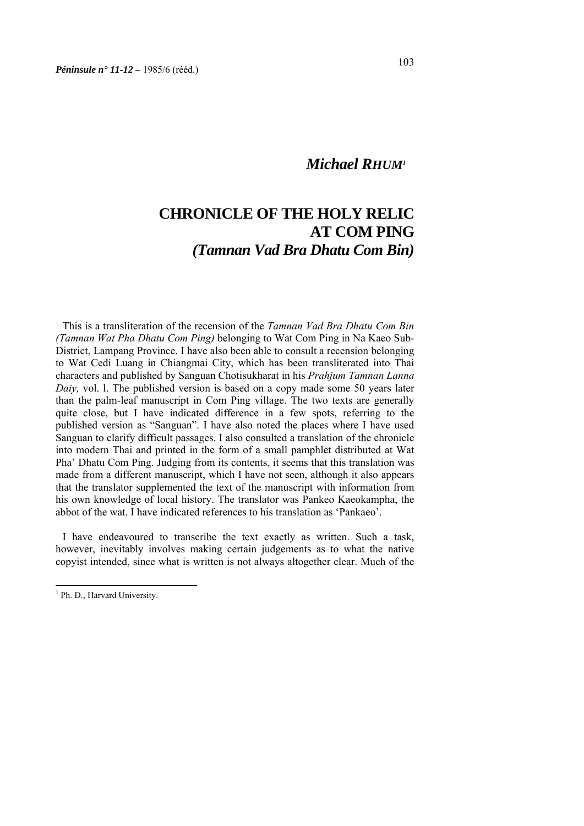## *Michael RHUM1*

## **CHRONICLE OF THE HOLY RELIC AT COM PING**  *(Tamnan Vad Bra Dhatu Com Bin)*

This is a transliteration of the recension of the *Tamnan Vad Bra Dhatu Com Bin (Tamnan Wat Pha Dhatu Com Ping)* belonging to Wat Com Ping in Na Kaeo Sub-District, Lampang Province. I have also been able to consult a recension belonging to Wat Cedi Luang in Chiangmai City, which has been transliterated into Thai characters and published by Sanguan Chotisukharat in his *Prahjum Tamnan Lanna Daiy,* vol. l. The published version is based on a copy made some 50 years later than the palm-leaf manuscript in Com Ping village. The two texts are generally quite close, but I have indicated difference in a few spots, referring to the published version as "Sanguan". I have also noted the places where I have used Sanguan to clarify difficult passages. I also consulted a translation of the chronicle into modern Thai and printed in the form of a small pamphlet distributed at Wat Pha' Dhatu Com Ping. Judging from its contents, it seems that this translation was made from a different manuscript, which I have not seen, although it also appears that the translator supplemented the text of the manuscript with information from his own knowledge of local history. The translator was Pankeo Kaeokampha, the abbot of the wat. I have indicated references to his translation as 'Pankaeo'.

I have endeavoured to transcribe the text exactly as written. Such a task, however, inevitably involves making certain judgements as to what the native copyist intended, since what is written is not always altogether clear. Much of the

<sup>&</sup>lt;sup>1</sup> Ph. D., Harvard University.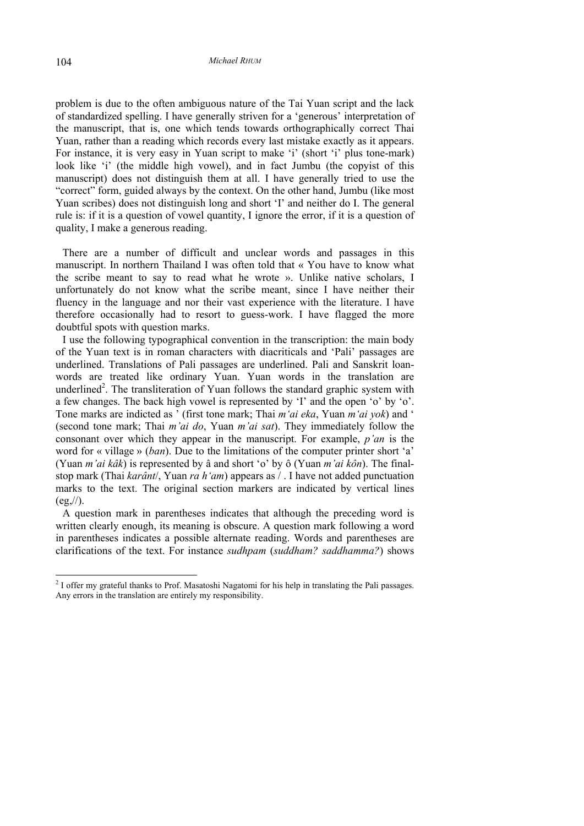problem is due to the often ambiguous nature of the Tai Yuan script and the lack of standardized spelling. I have generally striven for a 'generous' interpretation of the manuscript, that is, one which tends towards orthographically correct Thai Yuan, rather than a reading which records every last mistake exactly as it appears. For instance, it is very easy in Yuan script to make 'i' (short 'i' plus tone-mark) look like 'i' (the middle high vowel), and in fact Jumbu (the copyist of this manuscript) does not distinguish them at all. I have generally tried to use the "correct" form, guided always by the context. On the other hand, Jumbu (like most Yuan scribes) does not distinguish long and short 'I' and neither do I. The general rule is: if it is a question of vowel quantity, I ignore the error, if it is a question of quality, I make a generous reading.

There are a number of difficult and unclear words and passages in this manuscript. In northern Thailand I was often told that « You have to know what the scribe meant to say to read what he wrote ». Unlike native scholars, I unfortunately do not know what the scribe meant, since I have neither their fluency in the language and nor their vast experience with the literature. I have therefore occasionally had to resort to guess-work. I have flagged the more doubtful spots with question marks.

I use the following typographical convention in the transcription: the main body of the Yuan text is in roman characters with diacriticals and 'Pali' passages are underlined. Translations of Pali passages are underlined. Pali and Sanskrit loanwords are treated like ordinary Yuan. Yuan words in the translation are underlined<sup>2</sup>. The transliteration of Yuan follows the standard graphic system with a few changes. The back high vowel is represented by 'I' and the open 'o' by 'o'. Tone marks are indicted as ' (first tone mark; Thai *m'ai eka*, Yuan *m'ai yok*) and ' (second tone mark; Thai *m'ai do*, Yuan *m'ai sat*). They immediately follow the consonant over which they appear in the manuscript. For example, *p'an* is the word for « village » (*ban*). Due to the limitations of the computer printer short 'a' (Yuan *m'ai kâk*) is represented by â and short 'o' by ô (Yuan *m'ai kôn*). The finalstop mark (Thai *karânt*/, Yuan *ra h'am*) appears as / . I have not added punctuation marks to the text. The original section markers are indicated by vertical lines  $(eg_{\lambda}/\lambda)$ .

A question mark in parentheses indicates that although the preceding word is written clearly enough, its meaning is obscure. A question mark following a word in parentheses indicates a possible alternate reading. Words and parentheses are clarifications of the text. For instance *sudhpam* (*suddham? saddhamma?*) shows

 $2$ I offer my grateful thanks to Prof. Masatoshi Nagatomi for his help in translating the Pali passages. Any errors in the translation are entirely my responsibility.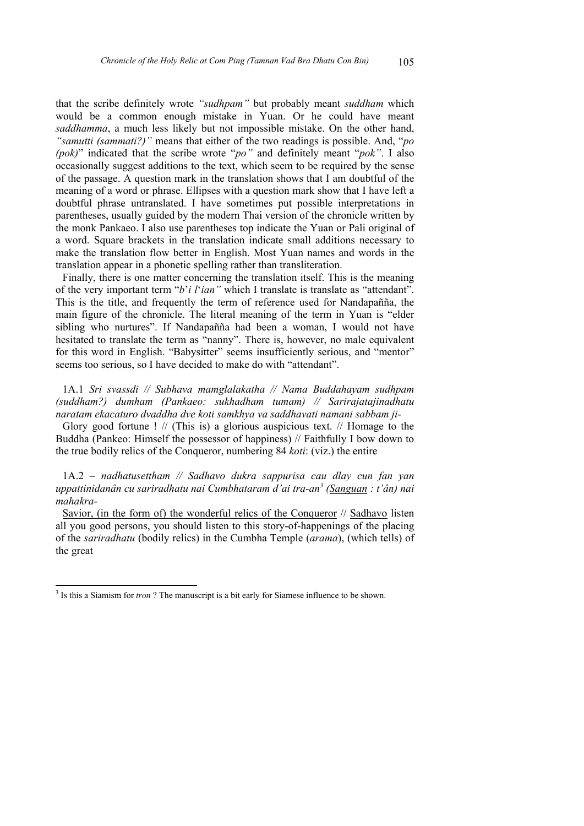that the scribe definitely wrote *"sudhpam"* but probably meant *suddham* which would be a common enough mistake in Yuan. Or he could have meant *saddhamma*, a much less likely but not impossible mistake. On the other hand, *"samutti (sammati?)"* means that either of the two readings is possible. And, "*po (pok)*" indicated that the scribe wrote "*po"* and definitely meant "*pok"*. I also occasionally suggest additions to the text, which seem to be required by the sense of the passage. A question mark in the translation shows that I am doubtful of the meaning of a word or phrase. Ellipses with a question mark show that I have left a doubtful phrase untranslated. I have sometimes put possible interpretations in parentheses, usually guided by the modern Thai version of the chronicle written by the monk Pankaeo. I also use parentheses top indicate the Yuan or Pali original of a word. Square brackets in the translation indicate small additions necessary to make the translation flow better in English. Most Yuan names and words in the translation appear in a phonetic spelling rather than transliteration.

Finally, there is one matter concerning the translation itself. This is the meaning of the very important term "*b*'*i l*'*ian"* which I translate is translate as "attendant". This is the title, and frequently the term of reference used for Nandapañña, the main figure of the chronicle. The literal meaning of the term in Yuan is "elder sibling who nurtures". If Nandapañña had been a woman, I would not have hesitated to translate the term as "nanny". There is, however, no male equivalent for this word in English. "Babysitter" seems insufficiently serious, and "mentor" seems too serious, so I have decided to make do with "attendant".

1A.1 *Sri svassdi // Subhava mamglalakatha // Nama Buddahayam sudhpam (suddham?) dumham (Pankaeo: sukhadham tumam) // Sarirajatajinadhatu naratam ekacaturo dvaddha dve koti samkhya va saddhavati namani sabbam ji-*

Glory good fortune ! // (This is) a glorious auspicious text. // Homage to the Buddha (Pankeo: Himself the possessor of happiness) // Faithfully I bow down to the true bodily relics of the Conqueror, numbering 84 *koti*: (viz.) the entire

1A.2 *– nadhatusettham // Sadhavo dukra sappurisa cau dlay cun fan yan uppattinidanân cu sariradhatu nai Cumbhataram d'ai tra-an3 (Sanguan : t'ân) nai mahakra-*

Savior, (in the form of) the wonderful relics of the Conqueror // Sadhavo listen all you good persons, you should listen to this story-of-happenings of the placing of the *sariradhatu* (bodily relics) in the Cumbha Temple (*arama*), (which tells) of the great

<sup>&</sup>lt;sup>3</sup> Is this a Siamism for *tron* ? The manuscript is a bit early for Siamese influence to be shown.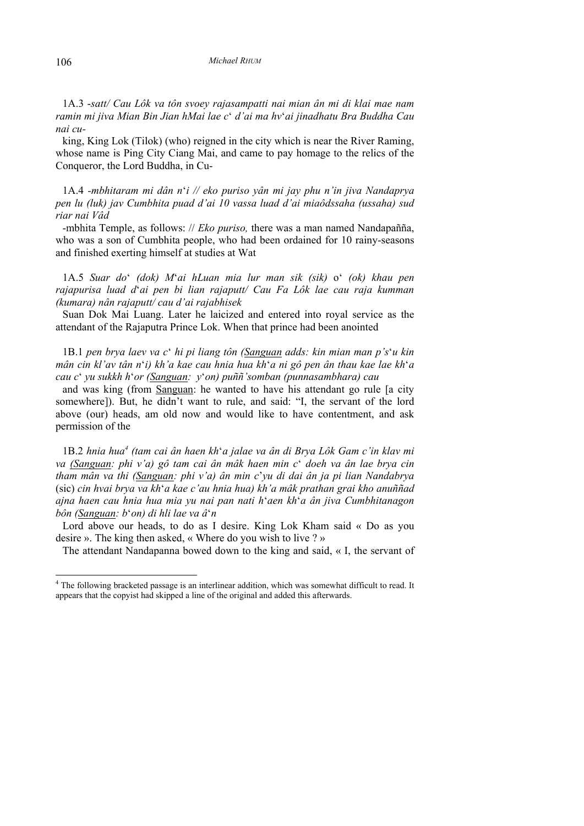1A.3 -*satt/ Cau Lôk va tôn svoey rajasampatti nai mian ân mi di klai mae nam ramin mi jiva Mian Bin Jian hMai lae c*' *d'ai ma hv*'*ai jinadhatu Bra Buddha Cau nai cu-*

king, King Lok (Tilok) (who) reigned in the city which is near the River Raming, whose name is Ping City Ciang Mai, and came to pay homage to the relics of the Conqueror, the Lord Buddha, in Cu-

1A.4 *-mbhitaram mi dân n*'*i // eko puriso yân mi jay phu n'in jiva Nandaprya pen lu (luk) jav Cumbhita puad d'ai 10 vassa luad d'ai miaôdssaha (ussaha) sud riar nai Vâd*

-mbhita Temple, as follows: // *Eko puriso,* there was a man named Nandapañña, who was a son of Cumbhita people, who had been ordained for 10 rainy-seasons and finished exerting himself at studies at Wat

1A.5 *Suar do*' *(dok) M*'*ai hLuan mia lur man sik (sik)* o' *(ok) khau pen rajapurisa luad d*'*ai pen bi lian rajaputt/ Cau Fa Lôk lae cau raja kumman (kumara) nân rajaputt/ cau d'ai rajabhisek* 

Suan Dok Mai Luang. Later he laicized and entered into royal service as the attendant of the Rajaputra Prince Lok. When that prince had been anointed

1B.1 *pen brya laev va c*' *hi pi liang tôn (Sanguan adds: kin mian man p's*'*u kin mân cin kl'av tân n*'*i) kh'a kae cau hnia hua kh*'*a ni gô pen ân thau kae lae kh*'*a cau c*' *yu sukkh h*'*or (Sanguan: y*'*on) puññ'somban (punnasambhara) cau* 

and was king (from Sanguan: he wanted to have his attendant go rule [a city somewhere]). But, he didn't want to rule, and said: "I, the servant of the lord above (our) heads, am old now and would like to have contentment, and ask permission of the

1B.2 *hnia hua4 (tam cai ân haen kh*'*a jalae va ân di Brya Lôk Gam c'in klav mi va (Sanguan: phi v'a) gô tam cai ân mâk haen min c*' *doeh va ân lae brya cin tham mân va thi (Sanguan: phi v'a) ân min c*'*yu di dai ân ja pi lian Nandabrya*  (sic) *cin hvai brya va kh*'*a kae c'au hnia hua) kh'a mâk prathan grai kho anuññad ajna haen cau hnia hua mia yu nai pan nati h*'*aen kh*'*a ân jiva Cumbhitanagon bôn (Sanguan: b*'*on) di hli lae va â*'*n* 

Lord above our heads, to do as I desire. King Lok Kham said « Do as you desire ». The king then asked, « Where do you wish to live ? »

The attendant Nandapanna bowed down to the king and said, « I, the servant of

<sup>&</sup>lt;sup>4</sup> The following bracketed passage is an interlinear addition, which was somewhat difficult to read. It appears that the copyist had skipped a line of the original and added this afterwards.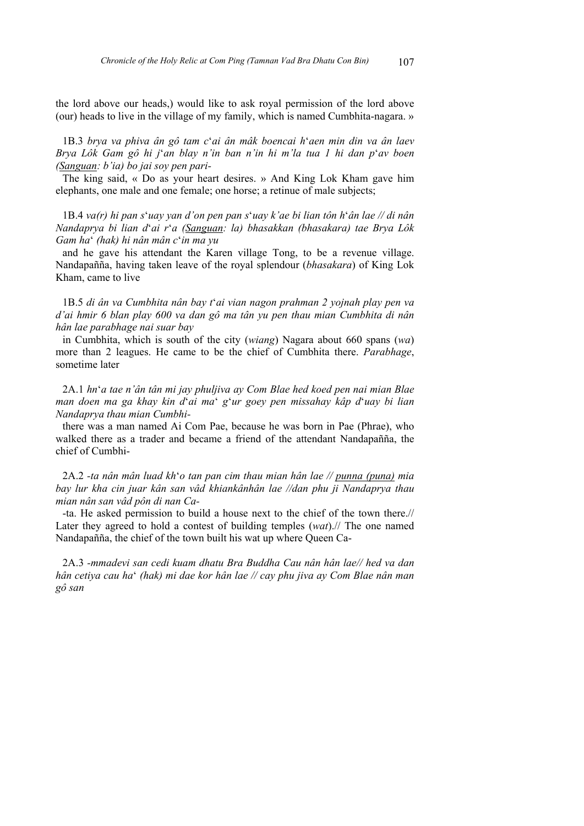the lord above our heads,) would like to ask royal permission of the lord above (our) heads to live in the village of my family, which is named Cumbhita-nagara. »

1B.3 *brya va phiva ân gô tam c*'*ai ân mâk boencai h*'*aen min din va ân laev Brya Lôk Gam gô hi j*'*an blay n'in ban n'in hi m'la tua 1 hi dan p*'*av boen (Sanguan: b'ia) bo jai soy pen pari-*

The king said, « Do as your heart desires. » And King Lok Kham gave him elephants, one male and one female; one horse; a retinue of male subjects;

1B.4 *va(r) hi pan s*'*uay yan d'on pen pan s*'*uay k'ae bi lian tôn h*'*ân lae // di nân Nandaprya bi lian d*'*ai r*'*a (Sanguan: la) bhasakkan (bhasakara) tae Brya Lôk Gam ha*' *(hak) hi nân mân c*'*in ma yu* 

and he gave his attendant the Karen village Tong, to be a revenue village. Nandapañña, having taken leave of the royal splendour (*bhasakara*) of King Lok Kham, came to live

1B.5 *di ân va Cumbhita nân bay t*'*ai vian nagon prahman 2 yojnah play pen va d'ai hmir 6 blan play 600 va dan gô ma tân yu pen thau mian Cumbhita di nân hân lae parabhage nai suar bay* 

in Cumbhita, which is south of the city (*wiang*) Nagara about 660 spans (*wa*) more than 2 leagues. He came to be the chief of Cumbhita there. *Parabhage*, sometime later

2A.1 *hn*'*a tae n'ân tân mi jay phuljiva ay Com Blae hed koed pen nai mian Blae man doen ma ga khay kin d*'*ai ma*' *g*'*ur goey pen missahay kâp d*'*uay bi lian Nandaprya thau mian Cumbhi-*

there was a man named Ai Com Pae, because he was born in Pae (Phrae), who walked there as a trader and became a friend of the attendant Nandapañña, the chief of Cumbhi-

2A.2 *-ta nân mân luad kh*'*o tan pan cim thau mian hân lae // punna (puna) mia bay lur kha cin juar kân san vâd khiankânhân lae //dan phu ji Nandaprya thau mian nân san vâd pôn di nan Ca-* 

-ta. He asked permission to build a house next to the chief of the town there.// Later they agreed to hold a contest of building temples (*wat*).// The one named Nandapañña, the chief of the town built his wat up where Queen Ca-

2A.3 *-mmadevi san cedi kuam dhatu Bra Buddha Cau nân hân lae// hed va dan hân cetiya cau ha*' *(hak) mi dae kor hân lae // cay phu jiva ay Com Blae nân man gô san*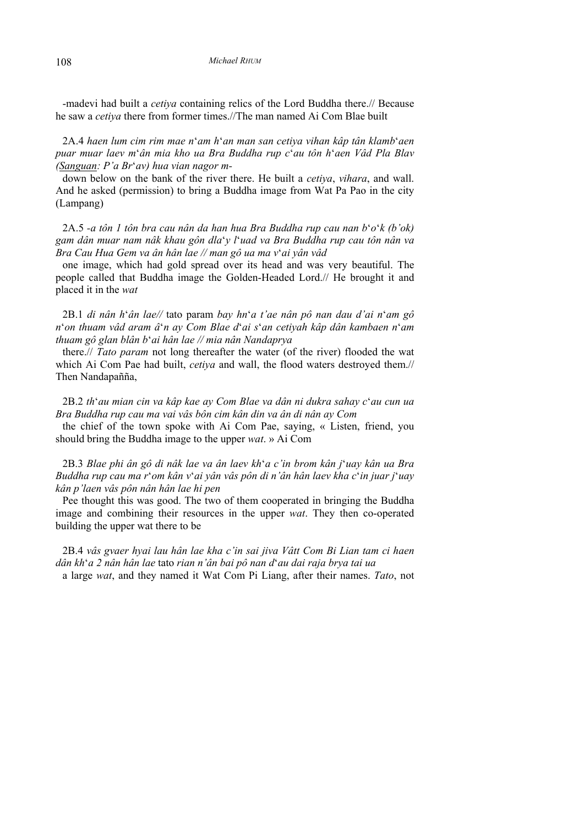-madevi had built a *cetiya* containing relics of the Lord Buddha there.// Because he saw a *cetiya* there from former times.//The man named Ai Com Blae built

2A.4 *haen lum cim rim mae n*'*am h*'*an man san cetiya vihan kâp tân klamb*'*aen puar muar laev m*'*ân mia kho ua Bra Buddha rup c*'*au tôn h*'*aen Vâd Pla Blav (Sanguan: P'a Br*'*av) hua vian nagor m-*

down below on the bank of the river there. He built a *cetiya*, *vihara*, and wall. And he asked (permission) to bring a Buddha image from Wat Pa Pao in the city (Lampang)

2A.5 *-a tôn 1 tôn bra cau nân da han hua Bra Buddha rup cau nan b*'*o*'*k (b'ok) gam dân muar nam nâk khau gôn dla*'*y l*'*uad va Bra Buddha rup cau tôn nân va Bra Cau Hua Gem va ân hân lae // man gô ua ma v*'*ai yân vâd* 

one image, which had gold spread over its head and was very beautiful. The people called that Buddha image the Golden-Headed Lord.// He brought it and placed it in the *wat*

2B.1 *di nân h*'*ân lae//* tato param *bay hn*'*a t'ae nân pô nan dau d'ai n*'*am gô n*'*on thuam vâd aram â*'*n ay Com Blae d*'*ai s*'*an cetiyah kâp dân kambaen n*'*am thuam gô glan blân b*'*ai hân lae // mia nân Nandaprya* 

there.// *Tato param* not long thereafter the water (of the river) flooded the wat which Ai Com Pae had built, *cetiya* and wall, the flood waters destroyed them.// Then Nandapañña,

2B.2 *th*'*au mian cin va kâp kae ay Com Blae va dân ni dukra sahay c*'*au cun ua Bra Buddha rup cau ma vai vâs bôn cim kân din va ân di nân ay Com* 

the chief of the town spoke with Ai Com Pae, saying, « Listen, friend, you should bring the Buddha image to the upper *wat*. » Ai Com

2B.3 *Blae phi ân gô di nâk lae va ân laev kh*'*a c'in brom kân j*'*uay kân ua Bra Buddha rup cau ma r*'*om kân v*'*ai yân vâs pôn di n'ân hân laev kha c*'*in juar j*'*uay kân p'laen vâs pôn nân hân lae hi pen* 

Pee thought this was good. The two of them cooperated in bringing the Buddha image and combining their resources in the upper *wat*. They then co-operated building the upper wat there to be

2B.4 *vâs gvaer hyai lau hân lae kha c'in sai jiva Vâtt Com Bi Lian tam ci haen dân kh*'*a 2 nân hân lae* tato *rian n'ân bai pô nan d*'*au dai raja brya tai ua*  a large *wat*, and they named it Wat Com Pi Liang, after their names. *Tato*, not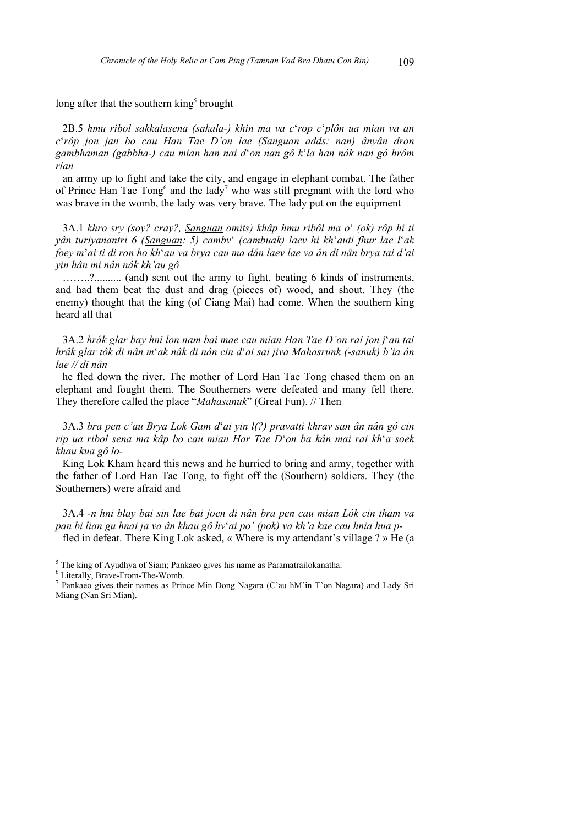long after that the southern  $\text{king}^5$  brought

2B.5 *hmu ribol sakkalasena (sakala-) khin ma va c*'*rop c*'*plôn ua mian va an c*'*rôp jon jan bo cau Han Tae D'on lae (Sanguan adds: nan) ânyân dron gambhaman (gabbha-) cau mian han nai d*'*on nan gô k*'*la han nâk nan gô hrôm rian* 

an army up to fight and take the city, and engage in elephant combat. The father of Prince Han Tae Tong<sup>6</sup> and the lady<sup>7</sup> who was still pregnant with the lord who was brave in the womb, the lady was very brave. The lady put on the equipment

3A.1 *khro sry (soy? cray?, Sanguan omits) khâp hmu ribôl ma o*' *(ok) rôp hi ti yân turiyanantri 6 (Sanguan: 5) cambv*' *(cambuak) laev hi kh*'*auti fhur lae l*'*ak foey m*'*ai ti di ron ho kh*'*au va brya cau ma dân laev lae va ân di nân brya tai d'ai yin hân mi nân nâk kh'au gô* 

……..?.......... (and) sent out the army to fight, beating 6 kinds of instruments, and had them beat the dust and drag (pieces of) wood, and shout. They (the enemy) thought that the king (of Ciang Mai) had come. When the southern king heard all that

3A.2 *hrâk glar bay hni lon nam bai mae cau mian Han Tae D'on rai jon j*'*an tai hrâk glar tôk di nân m*'*ak nâk di nân cin d*'*ai sai jiva Mahasrunk (-sanuk) b'ia ân lae // di nân* 

he fled down the river. The mother of Lord Han Tae Tong chased them on an elephant and fought them. The Southerners were defeated and many fell there. They therefore called the place "*Mahasanuk*" (Great Fun). // Then

3A.3 *bra pen c'au Brya Lok Gam d*'*ai yin l(?) pravatti khrav san ân nân gô cin rip ua ribol sena ma kâp bo cau mian Har Tae D*'*on ba kân mai rai kh*'*a soek khau kua gô lo-*

King Lok Kham heard this news and he hurried to bring and army, together with the father of Lord Han Tae Tong, to fight off the (Southern) soldiers. They (the Southerners) were afraid and

3A.4 *-n hni blay bai sin lae bai joen di nân bra pen cau mian Lôk cin tham va pan bi lian gu hnai ja va ân khau gô hv*'*ai po' (pok) va kh'a kae cau hnia hua p*fled in defeat. There King Lok asked, « Where is my attendant's village ? » He (a

 $^5$  The king of Ayudhya of Siam; Pankaeo gives his name as Paramatrailokanatha.

<sup>&</sup>lt;sup>6</sup> Literally, Brave-From-The-Womb.

<sup>&</sup>lt;sup>7</sup> Pankaeo gives their names as Prince Min Dong Nagara (C'au hM'in T'on Nagara) and Lady Sri Miang (Nan Sri Mian).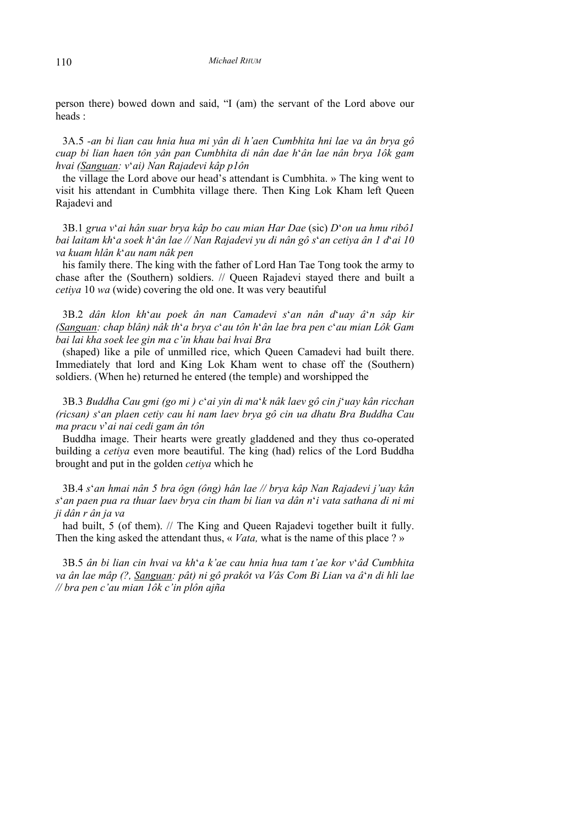person there) bowed down and said, "I (am) the servant of the Lord above our heads :

3A.5 *-an bi lian cau hnia hua mi yân di h'aen Cumbhita hni lae va ân brya gô cuap bi lian haen tôn yân pan Cumbhita di nân dae h*'*ân lae nân brya 1ôk gam hvai (Sanguan: v*'*ai) Nan Rajadevi kâp p1ôn* 

the village the Lord above our head's attendant is Cumbhita. » The king went to visit his attendant in Cumbhita village there. Then King Lok Kham left Queen Rajadevi and

3B.1 *grua v*'*ai hân suar brya kâp bo cau mian Har Dae* (sic) *D*'*on ua hmu ribô1 bai laitam kh*'*a soek h*'*ân lae // Nan Rajadevi yu di nân gô s*'*an cetiya ân 1 d*'*ai 10 va kuam hlân k*'*au nam nâk pen* 

his family there. The king with the father of Lord Han Tae Tong took the army to chase after the (Southern) soldiers. // Queen Rajadevi stayed there and built a *cetiya* 10 *wa* (wide) covering the old one. It was very beautiful

3B.2 *dân klon kh*'*au poek ân nan Camadevi s*'*an nân d*'*uay â*'*n sâp kir (Sanguan: chap blân) nâk th*'*a brya c*'*au tôn h*'*ân lae bra pen c*'*au mian Lôk Gam bai lai kha soek lee gin ma c'in khau bai hvai Bra* 

(shaped) like a pile of unmilled rice, which Queen Camadevi had built there. Immediately that lord and King Lok Kham went to chase off the (Southern) soldiers. (When he) returned he entered (the temple) and worshipped the

3B.3 *Buddha Cau gmi (go mi ) c*'*ai yin di ma*'*k nâk laev gô cin j*'*uay kân ricchan (ricsan) s*'*an plaen cetiy cau hi nam laev brya gô cin ua dhatu Bra Buddha Cau ma pracu v*'*ai nai cedi gam ân tôn* 

Buddha image. Their hearts were greatly gladdened and they thus co-operated building a *cetiya* even more beautiful. The king (had) relics of the Lord Buddha brought and put in the golden *cetiya* which he

3B.4 *s*'*an hmai nân 5 bra ôgn (ông) hân lae // brya kâp Nan Rajadevi j'uay kân s*'*an paen pua ra thuar laev brya cin tham bi lian va dân n*'*i vata sathana di ni mi ji dân r ân ja va* 

had built, 5 (of them). // The King and Queen Rajadevi together built it fully. Then the king asked the attendant thus, « *Vata,* what is the name of this place ? »

3B.5 *ân bi lian cin hvai va kh*'*a k'ae cau hnia hua tam t'ae kor v*'*âd Cumbhita va ân lae mâp (?, Sanguan: pât) ni gô prakôt va Vâs Com Bi Lian va â*'*n di hli lae // bra pen c'au mian 1ôk c'in plôn ajña*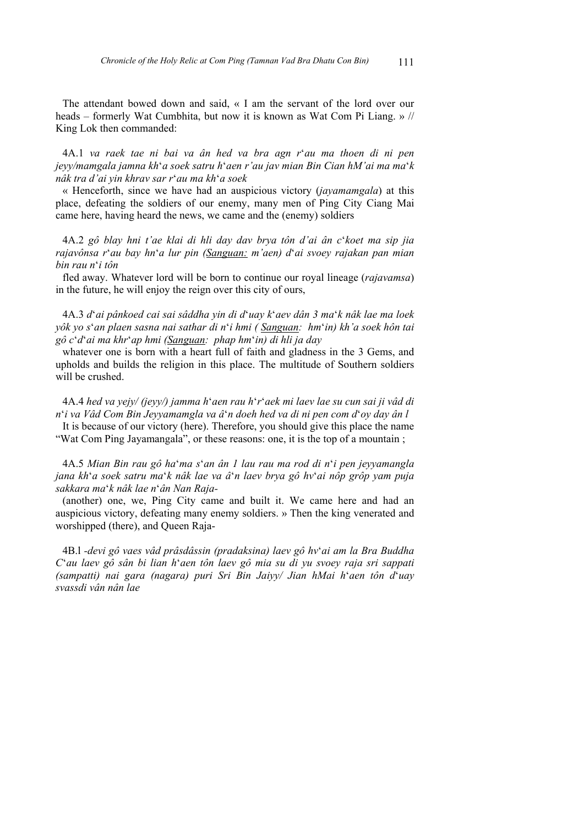The attendant bowed down and said, « I am the servant of the lord over our heads – formerly Wat Cumbhita, but now it is known as Wat Com Pi Liang. » // King Lok then commanded:

4A.1 *va raek tae ni bai va ân hed va bra agn r*'*au ma thoen di ni pen jeyy/mamgala jamna kh*'*a soek satru h*'*aen r'au jav mian Bin Cian hM'ai ma ma*'*k nâk tra d'ai yin khrav sar r*'*au ma kh*'*a soek* 

« Henceforth, since we have had an auspicious victory (*jayamamgala*) at this place, defeating the soldiers of our enemy, many men of Ping City Ciang Mai came here, having heard the news, we came and the (enemy) soldiers

4A.2 *gô blay hni t'ae klai di hli day dav brya tôn d'ai ân c*'*koet ma sip jia rajavônsa r*'*au bay hn*'*a lur pin (Sanguan: m'aen) d*'*ai svoey rajakan pan mian bin rau n*'*i tôn* 

fled away. Whatever lord will be born to continue our royal lineage (*rajavamsa*) in the future, he will enjoy the reign over this city of ours,

4A.3 *d*'*ai pânkoed cai sai sâddha yin di d*'*uay k*'*aev dân 3 ma*'*k nâk lae ma loek yôk yo s*'*an plaen sasna nai sathar di n*'*i hmi ( Sanguan: hm*'*in) kh'a soek hôn tai gô c*'*d*'*ai ma khr*'*ap hmi (Sanguan: phap hm*'*in) di hli ja day* 

whatever one is born with a heart full of faith and gladness in the 3 Gems, and upholds and builds the religion in this place. The multitude of Southern soldiers will be crushed.

4A.4 *hed va yejy/ (jeyy/) jamma h*'*aen rau h*'*r*'*aek mi laev lae su cun sai ji vâd di n*'*i va Vâd Com Bin Jeyyamamgla va â*'*n doeh hed va di ni pen com d*'*oy day ân l* 

It is because of our victory (here). Therefore, you should give this place the name "Wat Com Ping Jayamangala", or these reasons: one, it is the top of a mountain;

4A.5 *Mian Bin rau gô ha*'*ma s*'*an ân 1 lau rau ma rod di n*'*i pen jeyyamangla jana kh*'*a soek satru ma*'*k nâk lae va â*'*n laev brya gô hv*'*ai nôp grôp yam puja sakkara ma*'*k nâk lae n*'*ân Nan Raja-* 

(another) one, we, Ping City came and built it. We came here and had an auspicious victory, defeating many enemy soldiers. » Then the king venerated and worshipped (there), and Queen Raja-

4B.l *-devi gô vaes vâd prâsdâssin (pradaksina) laev gô hv*'*ai am la Bra Buddha C*'*au laev gô sân bi lian h*'*aen tôn laev gô mia su di yu svoey raja sri sappati (sampatti) nai gara (nagara) puri Sri Bin Jaiyy/ Jian hMai h*'*aen tôn d*'*uay svassdi vân nân lae*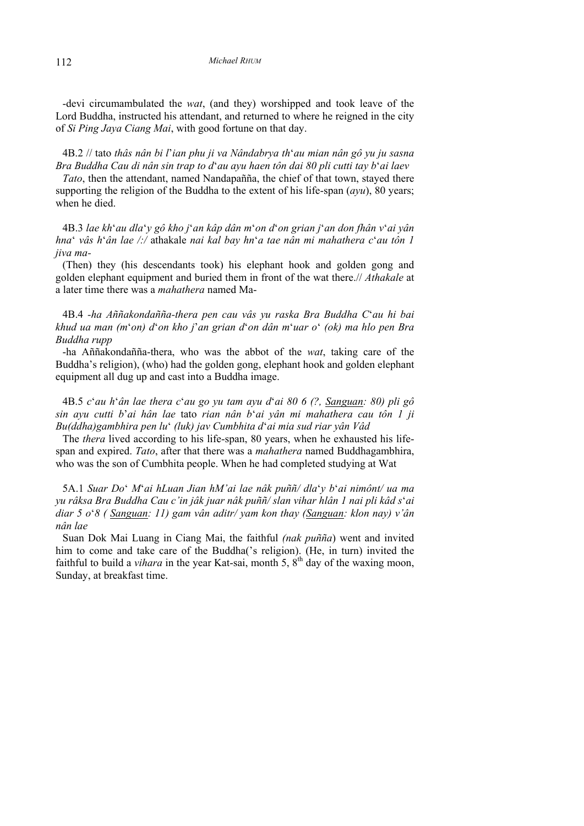-devi circumambulated the *wat*, (and they) worshipped and took leave of the Lord Buddha, instructed his attendant, and returned to where he reigned in the city of *Si Ping Jaya Ciang Mai*, with good fortune on that day.

4B.2 // tato *thâs nân bi l*'*ian phu ji va Nândabrya th*'*au mian nân gô yu ju sasna Bra Buddha Cau di nân sin trap to d*'*au ayu haen tôn dai 80 pli cutti tay b*'*ai laev* 

*Tato*, then the attendant, named Nandapañña, the chief of that town, stayed there supporting the religion of the Buddha to the extent of his life-span (*ayu*), 80 years; when he died.

4B.3 *lae kh*'*au dla*'*y gô kho j*'*an kâp dân m*'*on d*'*on grian j*'*an don fhân v*'*ai yân hna*' *vâs h*'*ân lae /:/* athakale *nai kal bay hn*'*a tae nân mi mahathera c*'*au tôn 1 jiva ma-* 

(Then) they (his descendants took) his elephant hook and golden gong and golden elephant equipment and buried them in front of the wat there.// *Athakale* at a later time there was a *mahathera* named Ma-

4B.4 *-ha Aññakondañña-thera pen cau vâs yu raska Bra Buddha C*'*au hi bai khud ua man (m*'*on) d*'*on kho j*'*an grian d*'*on dân m*'*uar o*' *(ok) ma hlo pen Bra Buddha rupp* 

-ha Aññakondañña-thera, who was the abbot of the *wat*, taking care of the Buddha's religion), (who) had the golden gong, elephant hook and golden elephant equipment all dug up and cast into a Buddha image.

4B.5 *c*'*au h*'*ân lae thera c*'*au go yu tam ayu d*'*ai 80 6 (?, Sanguan: 80) pli gô sin ayu cutti b*'*ai hân lae* tato *rian nân b*'*ai yân mi mahathera cau tôn 1 ji Bu(ddha)gambhira pen lu*' *(luk) jav Cumbhita d*'*ai mia sud riar yân Vâd* 

The *thera* lived according to his life-span, 80 years, when he exhausted his lifespan and expired. *Tato*, after that there was a *mahathera* named Buddhagambhira, who was the son of Cumbhita people. When he had completed studying at Wat

5A.1 *Suar Do*' *M*'*ai hLuan Jian hM'ai lae nâk puññ/ dla*'*y b*'*ai nimônt/ ua ma yu râksa Bra Buddha Cau c'in jâk juar nâk puññ/ slan vihar hlân 1 nai pli kâd s*'*ai diar 5 o*'*8 ( Sanguan: 11) gam vân aditr/ yam kon thay (Sanguan: klon nay) v'ân nân lae* 

Suan Dok Mai Luang in Ciang Mai, the faithful *(nak puñña*) went and invited him to come and take care of the Buddha('s religion). (He, in turn) invited the faithful to build a *vihara* in the year Kat-sai, month 5,  $8<sup>th</sup>$  day of the waxing moon, Sunday, at breakfast time.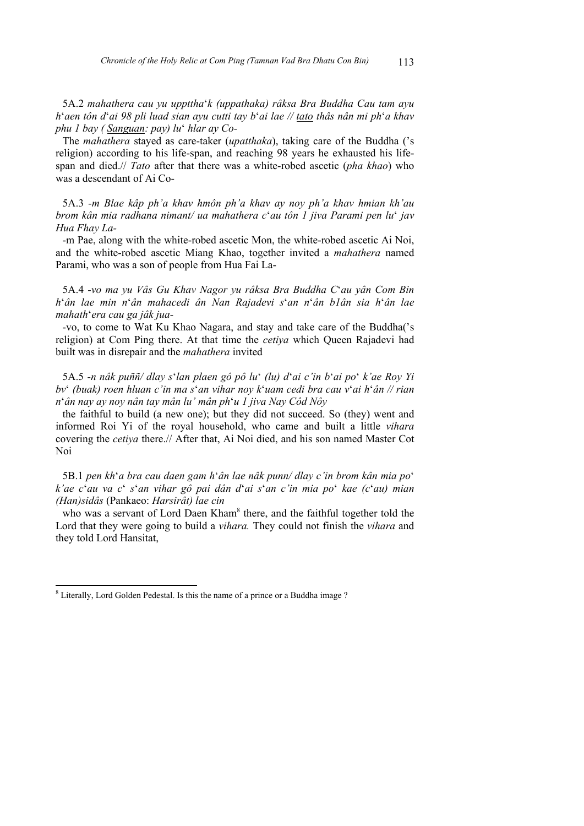5A.2 *mahathera cau yu uppttha*'*k (uppathaka) râksa Bra Buddha Cau tam ayu h*'*aen tôn d*'*ai 98 pli luad sian ayu cutti tay b*'*ai lae // tato thâs nân mi ph*'*a khav phu 1 bay ( Sanguan: pay) lu*' *hlar ay Co-*

The *mahathera* stayed as care-taker (*upatthaka*), taking care of the Buddha ('s religion) according to his life-span, and reaching 98 years he exhausted his lifespan and died.// *Tato* after that there was a white-robed ascetic (*pha khao*) who was a descendant of Ai Co-

5A.3 *-m Blae kâp ph'a khav hmôn ph'a khav ay noy ph'a khav hmian kh'au brom kân mia radhana nimant/ ua mahathera c*'*au tôn 1 jiva Parami pen lu*' *jav Hua Fhay La-* 

-m Pae, along with the white-robed ascetic Mon, the white-robed ascetic Ai Noi, and the white-robed ascetic Miang Khao, together invited a *mahathera* named Parami, who was a son of people from Hua Fai La-

5A.4 *-vo ma yu Vâs Gu Khav Nagor yu râksa Bra Buddha C*'*au yân Com Bin h*'*ân lae min n*'*ân mahacedi ân Nan Rajadevi s*'*an n*'*ân b1ân sia h*'*ân lae mahath*'*era cau ga jâk jua-* 

-vo, to come to Wat Ku Khao Nagara, and stay and take care of the Buddha('s religion) at Com Ping there. At that time the *cetiya* which Queen Rajadevi had built was in disrepair and the *mahathera* invited

5A.5 *-n nâk puññ/ dlay s*'*lan plaen gô pô lu*' *(lu) d*'*ai c'in b*'*ai po*' *k'ae Roy Yi bv*' *(buak) roen hluan c'in ma s*'*an vihar noy k*'*uam cedi bra cau v*'*ai h*'*ân // rian n*'*ân nay ay noy nân tay mân lu' mân ph*'*u 1 jiva Nay Côd Nôy* 

the faithful to build (a new one); but they did not succeed. So (they) went and informed Roi Yi of the royal household, who came and built a little *vihara*  covering the *cetiya* there.// After that, Ai Noi died, and his son named Master Cot Noi

5B.1 *pen kh*'*a bra cau daen gam h*'*ân lae nâk punn/ dlay c'in brom kân mia po*' *k'ae c*'*au va c*' *s*'*an vihar gô pai dân d*'*ai s*'*an c'in mia po*' *kae (c*'*au) mian (Han)sidâs* (Pankaeo: *Harsirât) lae cin* 

who was a servant of Lord Daen Kham<sup>8</sup> there, and the faithful together told the Lord that they were going to build a *vihara.* They could not finish the *vihara* and they told Lord Hansitat,

<sup>&</sup>lt;sup>8</sup> Literally, Lord Golden Pedestal. Is this the name of a prince or a Buddha image ?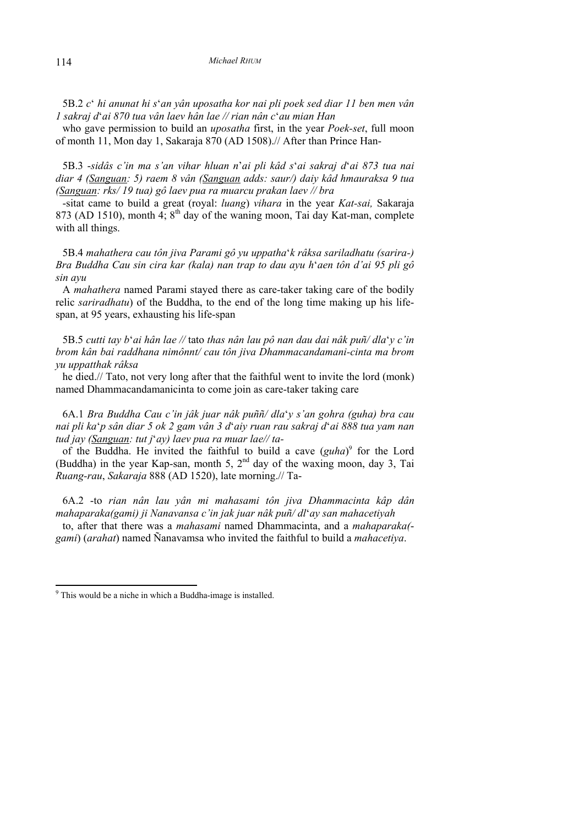5B.2 *c*' *hi anunat hi s*'*an yân uposatha kor nai pli poek sed diar 11 ben men vân 1 sakraj d*'*ai 870 tua vân laev hân lae // rian nân c*'*au mian Han* 

who gave permission to build an *uposatha* first, in the year *Poek-set*, full moon of month 11, Mon day 1, Sakaraja 870 (AD 1508).// After than Prince Han-

5B.3 -*sidâs c'in ma s'an vihar hluan n*'*ai pli kâd s*'*ai sakraj d*'*ai 873 tua nai diar 4 (Sanguan: 5) raem 8 vân (Sanguan adds: saur/) daiy kâd hmauraksa 9 tua (Sanguan: rks/ 19 tua) gô laev pua ra muarcu prakan laev // bra* 

-sitat came to build a great (royal: *luang*) *vihara* in the year *Kat-sai,* Sakaraja 873 (AD 1510), month 4; 8<sup>th</sup> day of the waning moon, Tai day Kat-man, complete with all things.

5B.4 *mahathera cau tôn jiva Parami gô yu uppatha*'*k râksa sariladhatu (sarira-) Bra Buddha Cau sin cira kar (kala) nan trap to dau ayu h*'*aen tôn d'ai 95 pli gô sin ayu* 

A *mahathera* named Parami stayed there as care-taker taking care of the bodily relic *sariradhatu*) of the Buddha, to the end of the long time making up his lifespan, at 95 years, exhausting his life-span

5B.5 *cutti tay b*'*ai hân lae //* tato *thas nân lau pô nan dau dai nâk puñ/ dla*'*y c'in brom kân bai raddhana nimônnt/ cau tôn jiva Dhammacandamani-cinta ma brom yu uppatthak râksa* 

he died.// Tato, not very long after that the faithful went to invite the lord (monk) named Dhammacandamanicinta to come join as care-taker taking care

6A.1 *Bra Buddha Cau c'in jâk juar nâk puññ/ dla*'*y s'an gohra (guha) bra cau nai pli ka*'*p sân diar 5 ok 2 gam vân 3 d*'*aiy ruan rau sakraj d*'*ai 888 tua yam nan tud jay (Sanguan: tut j*'*ay) laev pua ra muar lae// ta-*

of the Buddha. He invited the faithful to build a cave (*guha*)<sup>9</sup> for the Lord (Buddha) in the year Kap-san, month 5,  $2<sup>nd</sup>$  day of the waxing moon, day 3, Tai *Ruang-rau*, *Sakaraja* 888 (AD 1520), late morning.// Ta-

6A.2 -to *rian nân lau yân mi mahasami tôn jiva Dhammacinta kâp dân mahaparaka(gami) ji Nanavansa c'in jak juar nâk puñ/ dl*'*ay san mahacetiyah* 

to, after that there was a *mahasami* named Dhammacinta, and a *mahaparaka( gami*) (*arahat*) named Ñanavamsa who invited the faithful to build a *mahacetiya*.

<sup>&</sup>lt;sup>9</sup> This would be a niche in which a Buddha-image is installed.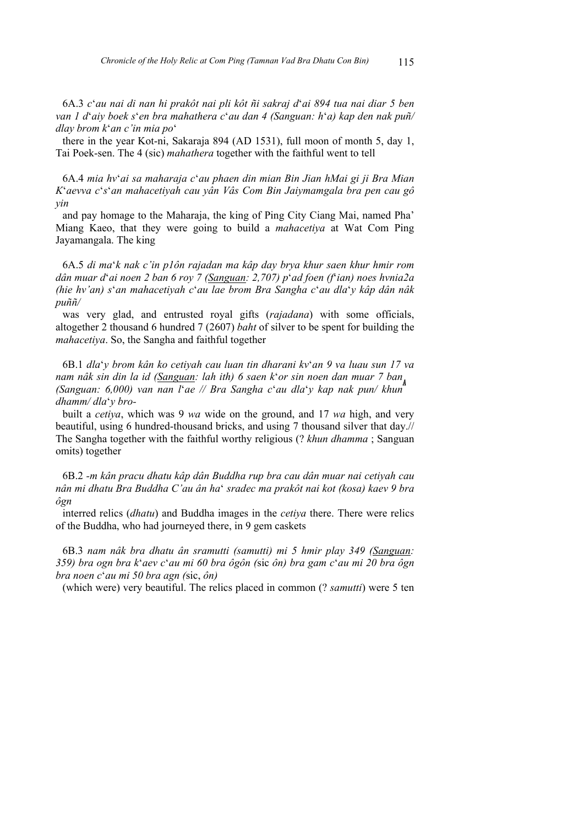6A.3 *c*'*au nai di nan hi prakôt nai pli kôt ñi sakraj d*'*ai 894 tua nai diar 5 ben van 1 d*'*aiy boek s*'*en bra mahathera c*'*au dan 4 (Sanguan: h*'*a) kap den nak puñ/ dlay brom k*'*an c'in mia po*'

there in the year Kot-ni, Sakaraja 894 (AD 1531), full moon of month 5, day 1, Tai Poek-sen. The 4 (sic) *mahathera* together with the faithful went to tell

6A.4 *mia hv*'*ai sa maharaja c*'*au phaen din mian Bin Jian hMai gi ji Bra Mian K*'*aevva c*'*s*'*an mahacetiyah cau yân Vâs Com Bin Jaiymamgala bra pen cau gô yin* 

and pay homage to the Maharaja, the king of Ping City Ciang Mai, named Pha' Miang Kaeo, that they were going to build a *mahacetiya* at Wat Com Ping Jayamangala. The king

6A.5 *di ma*'*k nak c'in p1ôn rajadan ma kâp day brya khur saen khur hmir rom dân muar d*'*ai noen 2 ban 6 roy 7 (Sanguan: 2,707) p*'*ad foen (f*'*ian) noes hvnia2a (hie hv'an) s*'*an mahacetiyah c*'*au lae brom Bra Sangha c*'*au dla*'*y kâp dân nâk puññ/* 

was very glad, and entrusted royal gifts (*rajadana*) with some officials, altogether 2 thousand 6 hundred 7 (2607) *baht* of silver to be spent for building the *mahacetiya*. So, the Sangha and faithful together

6B.1 *dla*'*y brom kân ko cetiyah cau luan tin dharani kv*'*an 9 va luau sun 17 va nam nâk sin din la id (Sanguan: lah ith) 6 saen k*'*or sin noen dan muar 7 ban*  (Sanguan: 6,000) van nan l'ae // Bra Sangha c'au dla'y kap nak pun/ khun *dhamm/ dla*'*y bro-*

built a *cetiya*, which was 9 *wa* wide on the ground, and 17 *wa* high, and very beautiful, using 6 hundred-thousand bricks, and using 7 thousand silver that day.// The Sangha together with the faithful worthy religious (? *khun dhamma* ; Sanguan omits) together

6B.2 *-m kân pracu dhatu kâp dân Buddha rup bra cau dân muar nai cetiyah cau nân mi dhatu Bra Buddha C'au ân ha*' *sradec ma prakôt nai kot (kosa) kaev 9 bra ôgn* 

interred relics (*dhatu*) and Buddha images in the *cetiya* there. There were relics of the Buddha, who had journeyed there, in 9 gem caskets

6B.3 *nam nâk bra dhatu ân sramutti (samutti) mi 5 hmir play 349 (Sanguan: 359) bra ogn bra k*'*aev c*'*au mi 60 bra ôgôn (*sic *ôn) bra gam c*'*au mi 20 bra ôgn bra noen c*'*au mi 50 bra agn (*sic, *ôn)* 

(which were) very beautiful. The relics placed in common (? *samutti*) were 5 ten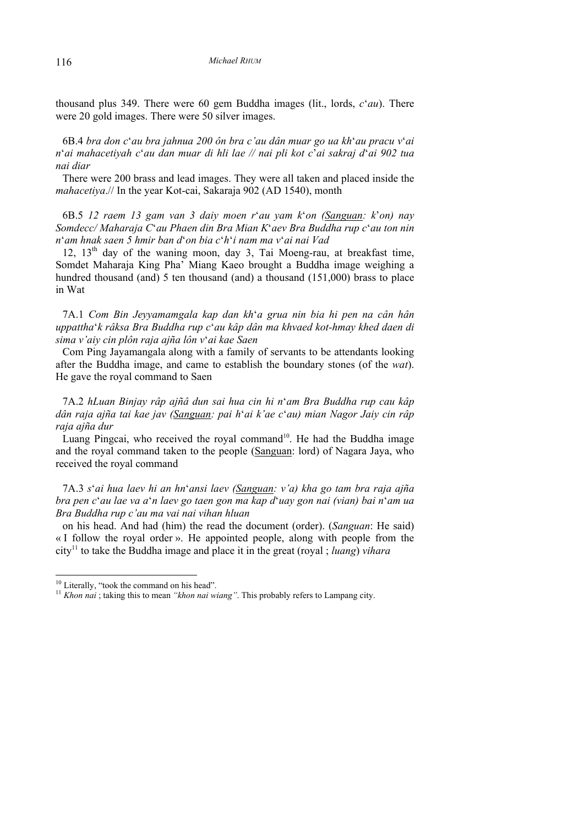thousand plus 349. There were 60 gem Buddha images (lit., lords, *c*'*au*). There were 20 gold images. There were 50 silver images.

6B.4 *bra don c*'*au bra jahnua 200 ôn bra c'au dân muar go ua kh*'*au pracu v*'*ai n*'*ai mahacetiyah c*'*au dan muar di hli lae // nai pli kot c*'*ai sakraj d*'*ai 902 tua nai diar* 

There were 200 brass and lead images. They were all taken and placed inside the *mahacetiya*.// In the year Kot-cai, Sakaraja 902 (AD 1540), month

6B.5 *12 raem 13 gam van 3 daiy moen r*'*au yam k*'*on (Sanguan: k*'*on) nay Somdecc/ Maharaja C*'*au Phaen din Bra Mian K*'*aev Bra Buddha rup c*'*au ton nin n*'*am hnak saen 5 hmir ban d*'*on bia c*'*h*'*i nam ma v*'*ai nai Vad*

12,  $13<sup>th</sup>$  day of the waning moon, day 3, Tai Moeng-rau, at breakfast time, Somdet Maharaja King Pha' Miang Kaeo brought a Buddha image weighing a hundred thousand (and) 5 ten thousand (and) a thousand (151,000) brass to place in Wat

7A.1 *Com Bin Jeyyamamgala kap dan kh*'*a grua nin bia hi pen na cân hân uppattha*'*k râksa Bra Buddha rup c*'*au kâp dân ma khvaed kot-hmay khed daen di sima v'aiy cin plôn raja ajña lôn v*'*ai kae Saen* 

Com Ping Jayamangala along with a family of servants to be attendants looking after the Buddha image, and came to establish the boundary stones (of the *wat*). He gave the royal command to Saen

7A.2 *hLuan Binjay râp ajñâ dun sai hua cin hi n*'*am Bra Buddha rup cau kâp dân raja ajña tai kae jav (Sanguan: pai h*'*ai k'ae c*'*au) mian Nagor Jaiy cin râp raja ajña dur* 

Luang Pingcai, who received the royal command<sup>10</sup>. He had the Buddha image and the royal command taken to the people (Sanguan: lord) of Nagara Jaya, who received the royal command

7A.3 *s*'*ai hua laev hi an hn*'*ansi laev (Sanguan: v'a) kha go tam bra raja ajña bra pen c*'*au lae va a*'*n laev go taen gon ma kap d*'*uay gon nai (vian) bai n*'*am ua Bra Buddha rup c'au ma vai nai vihan hluan* 

on his head. And had (him) the read the document (order). (*Sanguan*: He said) « I follow the royal order ». He appointed people, along with people from the city11 to take the Buddha image and place it in the great (royal ; *luang*) *vihara* 

<sup>&</sup>lt;sup>10</sup> Literally, "took the command on his head".

<sup>11</sup> *Khon nai* ; taking this to mean *"khon nai wiang"*. This probably refers to Lampang city.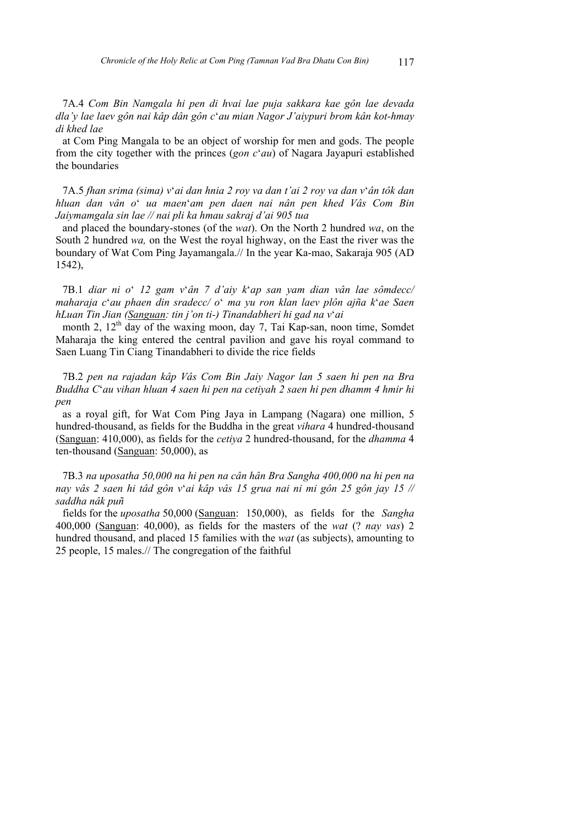7A.4 *Com Bin Namgala hi pen di hvai lae puja sakkara kae gôn lae devada dla'y lae laev gôn nai kâp dân gôn c*'*au mian Nagor J'aiypuri brom kân kot-hmay di khed lae* 

at Com Ping Mangala to be an object of worship for men and gods. The people from the city together with the princes (*gon c*'*au*) of Nagara Jayapuri established the boundaries

7A.5 *fhan srima (sima) v*'*ai dan hnia 2 roy va dan t'ai 2 roy va dan v*'*ân tôk dan hluan dan vân o*' *ua maen*'*am pen daen nai nân pen khed Vâs Com Bin Jaiymamgala sin lae // nai pli ka hmau sakraj d'ai 905 tua* 

and placed the boundary-stones (of the *wat*). On the North 2 hundred *wa*, on the South 2 hundred *wa,* on the West the royal highway, on the East the river was the boundary of Wat Com Ping Jayamangala.// In the year Ka-mao, Sakaraja 905 (AD 1542),

7B.1 *diar ni o*' *12 gam v*'*ân 7 d'aiy k*'*ap san yam dian vân lae sômdecc/ maharaja c*'*au phaen din sradecc/ o*' *ma yu ron klan laev plôn ajña k*'*ae Saen hLuan Tin Jian (Sanguan: tin j'on ti-) Tinandabheri hi gad na v*'*ai* 

month 2, 12<sup>th</sup> day of the waxing moon, day 7, Tai Kap-san, noon time, Somdet Maharaja the king entered the central pavilion and gave his royal command to Saen Luang Tin Ciang Tinandabheri to divide the rice fields

7B.2 *pen na rajadan kâp Vâs Com Bin Jaiy Nagor lan 5 saen hi pen na Bra Buddha C*'*au vihan hluan 4 saen hi pen na cetiyah 2 saen hi pen dhamm 4 hmir hi pen* 

as a royal gift, for Wat Com Ping Jaya in Lampang (Nagara) one million, 5 hundred-thousand, as fields for the Buddha in the great *vihara* 4 hundred-thousand (Sanguan: 410,000), as fields for the *cetiya* 2 hundred-thousand, for the *dhamma* 4 ten-thousand (Sanguan: 50,000), as

7B.3 *na uposatha 50,000 na hi pen na cân hân Bra Sangha 400,000 na hi pen na nay vâs 2 saen hi tâd gôn v*'*ai kâp vâs 15 grua nai ni mi gôn 25 gôn jay 15 // saddha nâk puñ* 

fields for the *uposatha* 50,000 (Sanguan: 150,000), as fields for the *Sangha*  400,000 (Sanguan: 40,000), as fields for the masters of the *wat* (? *nay vas*) 2 hundred thousand, and placed 15 families with the *wat* (as subjects), amounting to 25 people, 15 males.// The congregation of the faithful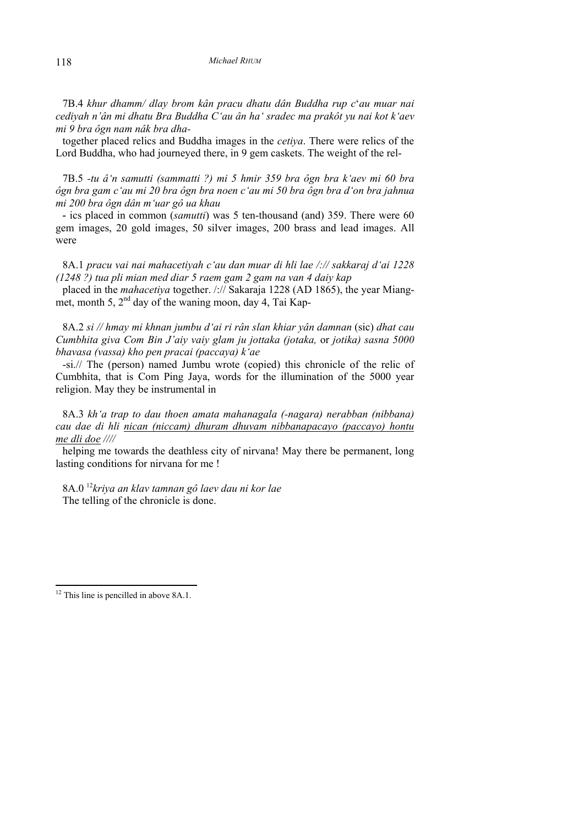7B.4 *khur dhamm/ dlay brom kân pracu dhatu dân Buddha rup c*'*au muar nai cediyah n'ân mi dhatu Bra Buddha C'au ân ha' sradec ma prakôt yu nai kot k'aev mi 9 bra ôgn nam nâk bra dha-*

together placed relics and Buddha images in the *cetiya*. There were relics of the Lord Buddha, who had journeyed there, in 9 gem caskets. The weight of the rel-

7B.5 *-tu â'n samutti (sammatti ?) mi 5 hmir 359 bra ôgn bra k'aev mi 60 bra ôgn bra gam c'au mi 20 bra ôgn bra noen c'au mi 50 bra ôgn bra d'on bra jahnua mi 200 bra ôgn dân m'uar gô ua khau* 

*-* ics placed in common (*samutti*) was 5 ten-thousand (and) 359. There were 60 gem images, 20 gold images, 50 silver images, 200 brass and lead images. All were

8A.1 *pracu vai nai mahacetiyah c'au dan muar di hli lae /:// sakkaraj d'ai 1228 (1248 ?) tua pli mian med diar 5 raem gam 2 gam na van 4 daiy kap* 

placed in the *mahacetiya* together. /:// Sakaraja 1228 (AD 1865), the year Miangmet, month 5,  $2<sup>nd</sup>$  day of the waning moon, day 4, Tai Kap-

8A.2 *si // hmay mi khnan jumbu d'ai ri rân slan khiar yân damnan* (sic) *dhat cau Cumbhita giva Com Bin J'aiy vaiy glam ju jottaka (jotaka,* or *jotika) sasna 5000 bhavasa (vassa) kho pen pracai (paccaya) k'ae* 

-si.// The (person) named Jumbu wrote (copied) this chronicle of the relic of Cumbhita, that is Com Ping Jaya, words for the illumination of the 5000 year religion. May they be instrumental in

8A.3 *kh'a trap to dau thoen amata mahanagala (-nagara) nerabban (nibbana) cau dae di hli nican (niccam) dhuram dhuvam nibbanapacayo (paccayo) hontu me dli doe ////*

helping me towards the deathless city of nirvana! May there be permanent, long lasting conditions for nirvana for me !

8A.0 12*kriya an klav tamnan gô laev dau ni kor lae*  The telling of the chronicle is done.

 $12$  This line is pencilled in above 8A.1.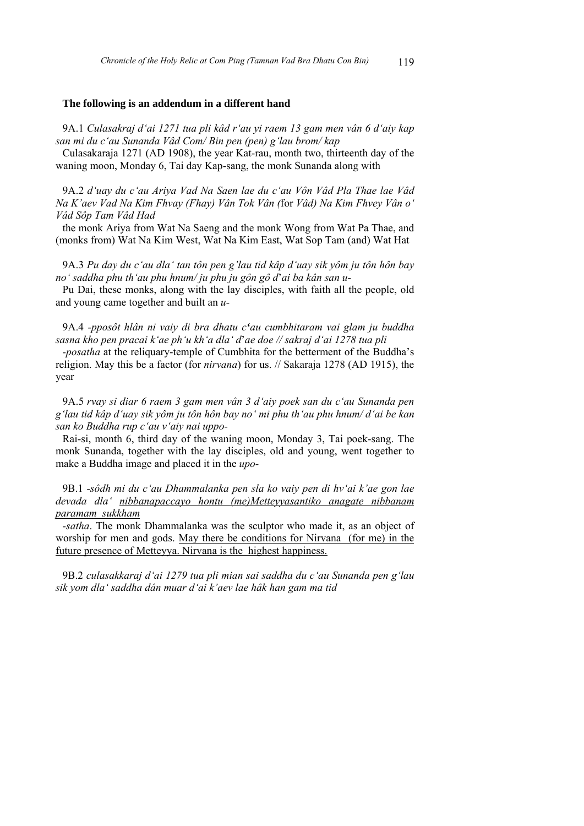## **The following is an addendum in a different hand**

9A.1 *Culasakraj d'ai 1271 tua pli kâd r'au yi raem 13 gam men vân 6 d'aiy kap san mi du c'au Sunanda Vâd Com/ Bin pen (pen) g'lau brom/ kap* 

Culasakaraja 1271 (AD 1908), the year Kat-rau, month two, thirteenth day of the waning moon, Monday 6, Tai day Kap-sang, the monk Sunanda along with

9A.2 *d'uay du c'au Ariya Vad Na Saen lae du c'au Vôn Vâd Pla Thae lae Vâd Na K'aev Vad Na Kim Fhvay (Fhay) Vân Tok Vân (*for *Vâd) Na Kim Fhvey Vân o' Vâd Sôp Tam Vâd Had* 

the monk Ariya from Wat Na Saeng and the monk Wong from Wat Pa Thae, and (monks from) Wat Na Kim West, Wat Na Kim East, Wat Sop Tam (and) Wat Hat

9A.3 *Pu day du c'au dla' tan tôn pen g'lau tid kâp d'uay sik yôm ju tôn hôn bay no' saddha phu th'au phu hnum/ ju phu ju gôn gô d*'*ai ba kân san u-*

Pu Dai, these monks, along with the lay disciples, with faith all the people, old and young came together and built an *u-*

9A.4 *-pposôt hlân ni vaiy di bra dhatu c'au cumbhitaram vai glam ju buddha sasna kho pen pracai k'ae ph'u kh'a dla' d*'*ae doe // sakraj d'ai 1278 tua pli* 

*-posatha* at the reliquary-temple of Cumbhita for the betterment of the Buddha's religion. May this be a factor (for *nirvana*) for us. // Sakaraja 1278 (AD 1915), the year

9A.5 *rvay si diar 6 raem 3 gam men vân 3 d'aiy poek san du c'au Sunanda pen g'lau tid kâp d'uay sik yôm ju tôn hôn bay no' mi phu th'au phu hnum/ d'ai be kan san ko Buddha rup c'au v'aiy nai uppo-*

Rai-si, month 6, third day of the waning moon, Monday 3, Tai poek-sang. The monk Sunanda, together with the lay disciples, old and young, went together to make a Buddha image and placed it in the *upo-*

9B.1 *-sôdh mi du c'au Dhammalanka pen sla ko vaiy pen di hv'ai k'ae gon lae devada dla' nibbanapaccayo hontu (me)Metteyyasantiko anagate nibbanam paramam sukkham*

*-satha*. The monk Dhammalanka was the sculptor who made it, as an object of worship for men and gods. May there be conditions for Nirvana (for me) in the future presence of Metteyya. Nirvana is the highest happiness.

9B.2 *culasakkaraj d'ai 1279 tua pli mian sai saddha du c'au Sunanda pen g'lau sik yom dla' saddha dân muar d'ai k'aev lae hâk han gam ma tid*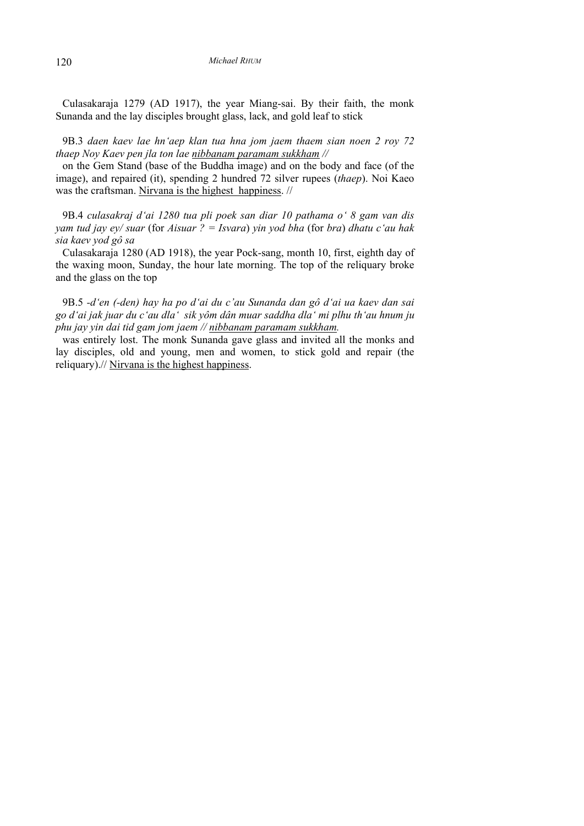Culasakaraja 1279 (AD 1917), the year Miang-sai. By their faith, the monk Sunanda and the lay disciples brought glass, lack, and gold leaf to stick

9B.3 *daen kaev lae hn'aep klan tua hna jom jaem thaem sian noen 2 roy 72 thaep Noy Kaev pen jla ton lae nibbanam paramam sukkham //* 

on the Gem Stand (base of the Buddha image) and on the body and face (of the image), and repaired (it), spending 2 hundred 72 silver rupees (*thaep*). Noi Kaeo was the craftsman. Nirvana is the highest happiness. //

9B.4 *culasakraj d'ai 1280 tua pli poek san diar 10 pathama o' 8 gam van dis yam tud jay ey/ suar* (for *Aisuar ? = Isvara*) *yin yod bha* (for *bra*) *dhatu c'au hak sia kaev yod gô sa* 

Culasakaraja 1280 (AD 1918), the year Pock-sang, month 10, first, eighth day of the waxing moon, Sunday, the hour late morning. The top of the reliquary broke and the glass on the top

9B.5 *-d'en (-den) hay ha po d'ai du c'au Sunanda dan gô d'ai ua kaev dan sai go d'ai jak juar du c'au dla' sik yôm dân muar saddha dla' mi plhu th'au hnum ju phu jay yin dai tid gam jom jaem // nibbanam paramam sukkham.* 

was entirely lost. The monk Sunanda gave glass and invited all the monks and lay disciples, old and young, men and women, to stick gold and repair (the reliquary).// Nirvana is the highest happiness.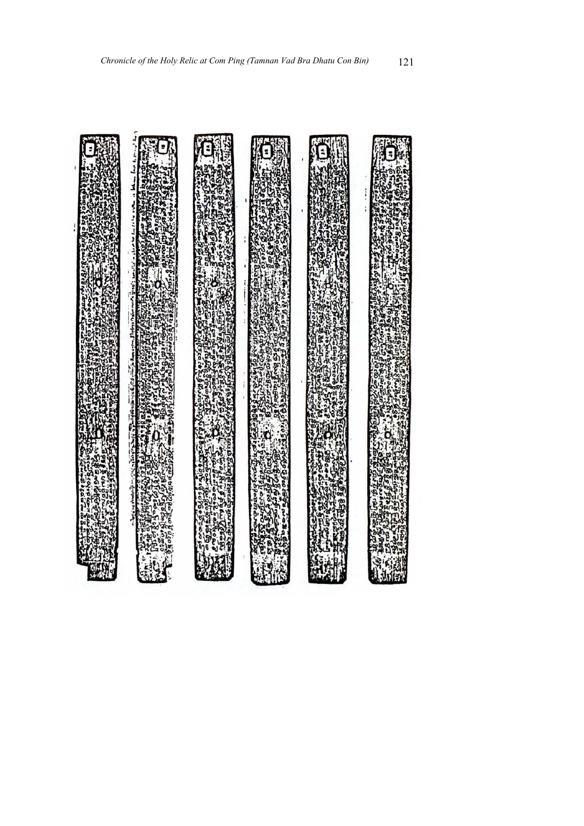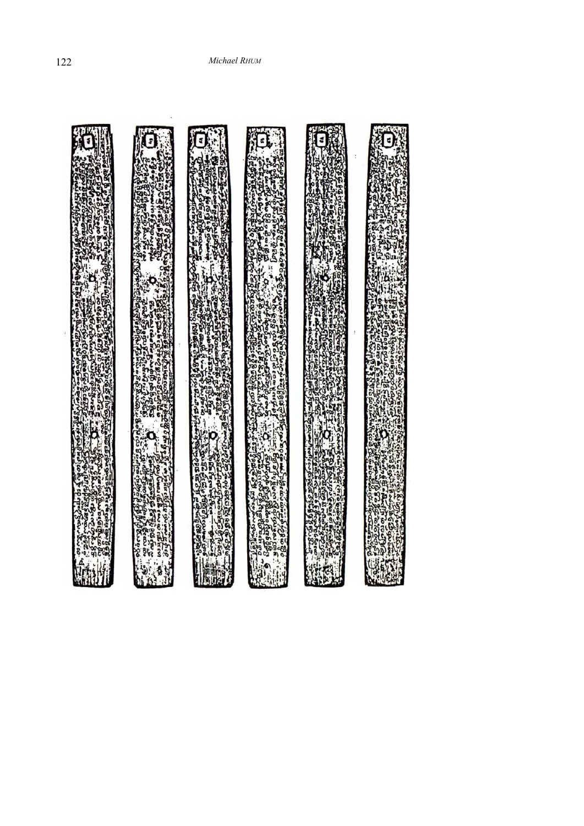|   |   | ō |  |
|---|---|---|--|
|   |   | ю |  |
|   |   |   |  |
|   |   |   |  |
|   |   |   |  |
|   |   |   |  |
|   |   |   |  |
|   |   |   |  |
|   |   |   |  |
|   |   |   |  |
|   |   |   |  |
|   |   |   |  |
|   |   |   |  |
|   |   |   |  |
|   |   |   |  |
|   |   |   |  |
|   |   |   |  |
|   |   |   |  |
|   |   |   |  |
|   | d |   |  |
|   |   |   |  |
|   |   |   |  |
| Ğ |   |   |  |
|   |   |   |  |
|   |   |   |  |
|   |   |   |  |
|   |   |   |  |
|   |   |   |  |
|   |   |   |  |
|   |   |   |  |
|   |   |   |  |
|   |   |   |  |
|   |   |   |  |
|   |   |   |  |
|   |   |   |  |
|   |   |   |  |
|   |   |   |  |
|   |   |   |  |
|   |   |   |  |
|   |   |   |  |

 $\frac{1}{\lambda}$